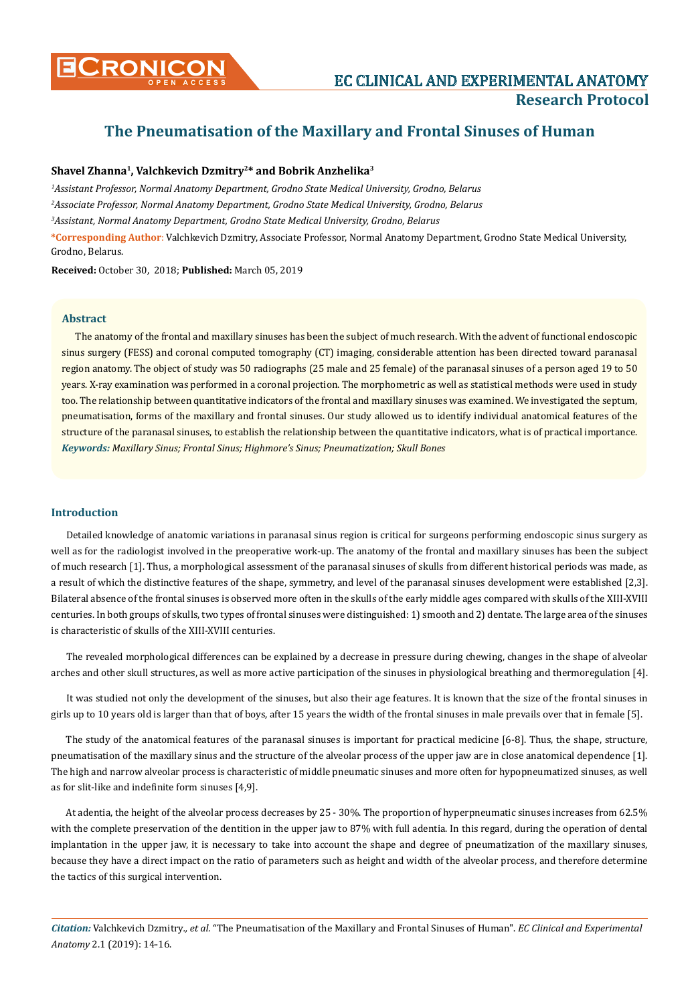

# **The Pneumatisation of the Maxillary and Frontal Sinuses of Human**

# **Shavel Zhanna1, Valchkevich Dzmitry2\* and Bobrik Anzhelika3**

*1 Assistant Professor, Normal Anatomy Department, Grodno State Medical University, Grodno, Belarus 2 Associate Professor, Normal Anatomy Department, Grodno State Medical University, Grodno, Belarus 3 Assistant, Normal Anatomy Department, Grodno State Medical University, Grodno, Belarus*

**\*Corresponding Author**: Valchkevich Dzmitry, Associate Professor, Normal Anatomy Department, Grodno State Medical University, Grodno, Belarus.

**Received:** October 30, 2018; **Published:** March 05, 2019

## **Abstract**

*Keywords: Maxillary Sinus; Frontal Sinus; Highmore's Sinus; Pneumatization; Skull Bones* The anatomy of the frontal and maxillary sinuses has been the subject of much research. With the advent of functional endoscopic sinus surgery (FESS) and coronal computed tomography (CT) imaging, considerable attention has been directed toward paranasal region anatomy. The object of study was 50 radiographs (25 male and 25 female) of the paranasal sinuses of a person aged 19 to 50 years. X-ray examination was performed in a coronal projection. The morphometric as well as statistical methods were used in study too. The relationship between quantitative indicators of the frontal and maxillary sinuses was examined. We investigated the septum, pneumatisation, forms of the maxillary and frontal sinuses. Our study allowed us to identify individual anatomical features of the structure of the paranasal sinuses, to establish the relationship between the quantitative indicators, what is of practical importance.

# **Introduction**

Detailed knowledge of anatomic variations in paranasal sinus region is critical for surgeons performing endoscopic sinus surgery as well as for the radiologist involved in the preoperative work-up. The anatomy of the frontal and maxillary sinuses has been the subject of much research [1]. Thus, a morphological assessment of the paranasal sinuses of skulls from different historical periods was made, as a result of which the distinctive features of the shape, symmetry, and level of the paranasal sinuses development were established [2,3]. Bilateral absence of the frontal sinuses is observed more often in the skulls of the early middle ages compared with skulls of the XIII-XVIII centuries. In both groups of skulls, two types of frontal sinuses were distinguished: 1) smooth and 2) dentate. The large area of the sinuses is characteristic of skulls of the XIII-XVIII centuries.

The revealed morphological differences can be explained by a decrease in pressure during chewing, changes in the shape of alveolar arches and other skull structures, as well as more active participation of the sinuses in physiological breathing and thermoregulation [4].

It was studied not only the development of the sinuses, but also their age features. It is known that the size of the frontal sinuses in girls up to 10 years old is larger than that of boys, after 15 years the width of the frontal sinuses in male prevails over that in female [5].

The study of the anatomical features of the paranasal sinuses is important for practical medicine [6-8]. Thus, the shape, structure, pneumatisation of the maxillary sinus and the structure of the alveolar process of the upper jaw are in close anatomical dependence [1]. The high and narrow alveolar process is characteristic of middle pneumatic sinuses and more often for hypopneumatized sinuses, as well as for slit-like and indefinite form sinuses [4,9].

At adentia, the height of the alveolar process decreases by 25 - 30%. The proportion of hyperpneumatic sinuses increases from 62.5% with the complete preservation of the dentition in the upper jaw to 87% with full adentia. In this regard, during the operation of dental implantation in the upper jaw, it is necessary to take into account the shape and degree of pneumatization of the maxillary sinuses, because they have a direct impact on the ratio of parameters such as height and width of the alveolar process, and therefore determine the tactics of this surgical intervention.

*Citation:* Valchkevich Dzmitry*., et al.* "The Pneumatisation of the Maxillary and Frontal Sinuses of Human". *EC Clinical and Experimental Anatomy* 2.1 (2019): 14-16.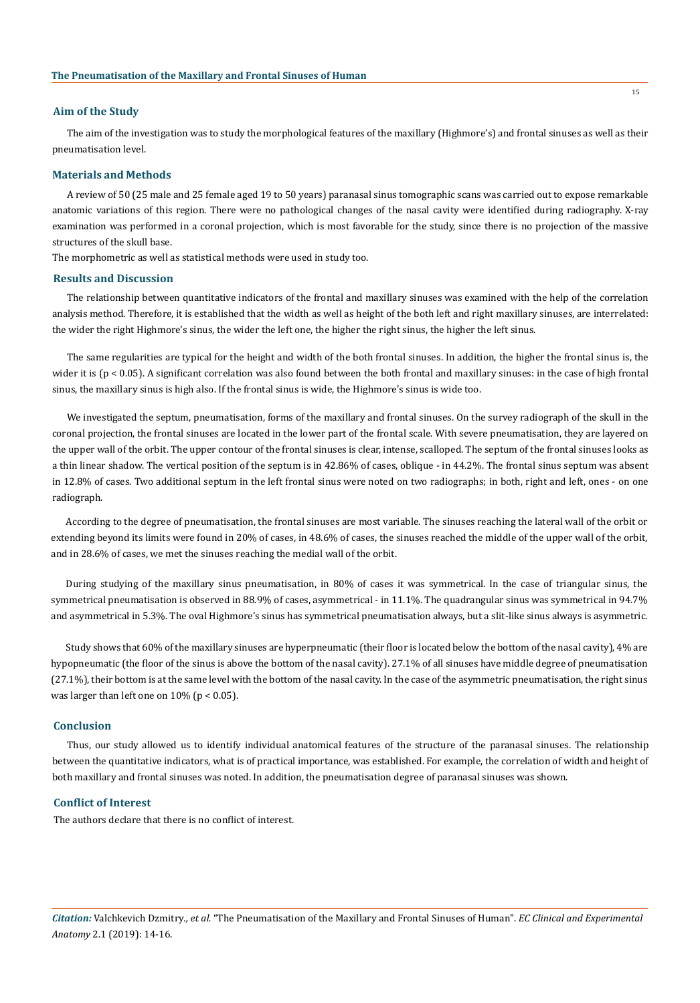#### **Aim of the Study**

The aim of the investigation was to study the morphological features of the maxillary (Highmore's) and frontal sinuses as well as their pneumatisation level.

#### **Materials and Methods**

A review of 50 (25 male and 25 female aged 19 to 50 years) paranasal sinus tomographic scans was carried out to expose remarkable anatomic variations of this region. There were no pathological changes of the nasal cavity were identified during radiography. X-ray examination was performed in a coronal projection, which is most favorable for the study, since there is no projection of the massive structures of the skull base.

The morphometric as well as statistical methods were used in study too.

#### **Results and Discussion**

The relationship between quantitative indicators of the frontal and maxillary sinuses was examined with the help of the correlation analysis method. Therefore, it is established that the width as well as height of the both left and right maxillary sinuses, are interrelated: the wider the right Highmore's sinus, the wider the left one, the higher the right sinus, the higher the left sinus.

The same regularities are typical for the height and width of the both frontal sinuses. In addition, the higher the frontal sinus is, the wider it is (p < 0.05). A significant correlation was also found between the both frontal and maxillary sinuses: in the case of high frontal sinus, the maxillary sinus is high also. If the frontal sinus is wide, the Highmore's sinus is wide too.

We investigated the septum, pneumatisation, forms of the maxillary and frontal sinuses. On the survey radiograph of the skull in the coronal projection, the frontal sinuses are located in the lower part of the frontal scale. With severe pneumatisation, they are layered on the upper wall of the orbit. The upper contour of the frontal sinuses is clear, intense, scalloped. The septum of the frontal sinuses looks as a thin linear shadow. The vertical position of the septum is in 42.86% of cases, oblique - in 44.2%. The frontal sinus septum was absent in 12.8% of cases. Two additional septum in the left frontal sinus were noted on two radiographs; in both, right and left, ones - on one radiograph.

According to the degree of pneumatisation, the frontal sinuses are most variable. The sinuses reaching the lateral wall of the orbit or extending beyond its limits were found in 20% of cases, in 48.6% of cases, the sinuses reached the middle of the upper wall of the orbit, and in 28.6% of cases, we met the sinuses reaching the medial wall of the orbit.

During studying of the maxillary sinus pneumatisation, in 80% of cases it was symmetrical. In the case of triangular sinus, the symmetrical pneumatisation is observed in 88.9% of cases, asymmetrical - in 11.1%. The quadrangular sinus was symmetrical in 94.7% and asymmetrical in 5.3%. The oval Highmore's sinus has symmetrical pneumatisation always, but a slit-like sinus always is asymmetric.

Study shows that 60% of the maxillary sinuses are hyperpneumatic (their floor is located below the bottom of the nasal cavity), 4% are hypopneumatic (the floor of the sinus is above the bottom of the nasal cavity). 27.1% of all sinuses have middle degree of pneumatisation (27.1%), their bottom is at the same level with the bottom of the nasal cavity. In the case of the asymmetric pneumatisation, the right sinus was larger than left one on  $10\%$  (p < 0.05).

#### **Conclusion**

Thus, our study allowed us to identify individual anatomical features of the structure of the paranasal sinuses. The relationship between the quantitative indicators, what is of practical importance, was established. For example, the correlation of width and height of both maxillary and frontal sinuses was noted. In addition, the pneumatisation degree of paranasal sinuses was shown.

## **Conflict of Interest**

The authors declare that there is no conflict of interest.